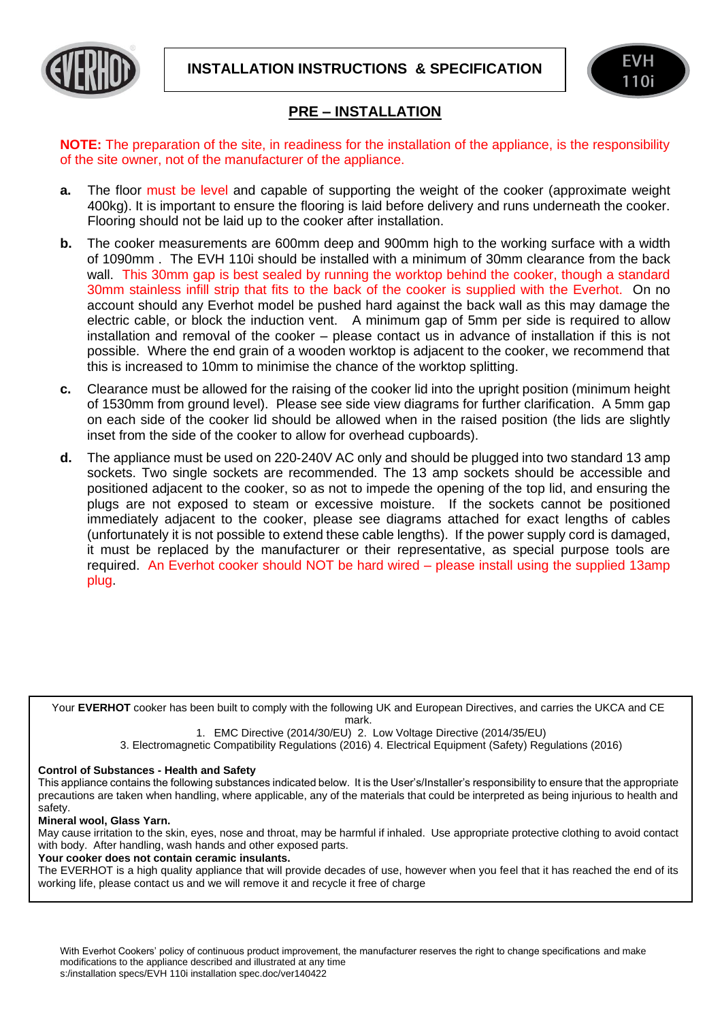**INSTALLATION INSTRUCTIONS & SPECIFICATION**



## **PRE – INSTALLATION**

**NOTE:** The preparation of the site, in readiness for the installation of the appliance, is the responsibility of the site owner, not of the manufacturer of the appliance.

- **a.** The floor must be level and capable of supporting the weight of the cooker (approximate weight 400kg). It is important to ensure the flooring is laid before delivery and runs underneath the cooker. Flooring should not be laid up to the cooker after installation.
- **b.** The cooker measurements are 600mm deep and 900mm high to the working surface with a width of 1090mm . The EVH 110i should be installed with a minimum of 30mm clearance from the back wall. This 30mm gap is best sealed by running the worktop behind the cooker, though a standard 30mm stainless infill strip that fits to the back of the cooker is supplied with the Everhot. On no account should any Everhot model be pushed hard against the back wall as this may damage the electric cable, or block the induction vent. A minimum gap of 5mm per side is required to allow installation and removal of the cooker – please contact us in advance of installation if this is not possible. Where the end grain of a wooden worktop is adjacent to the cooker, we recommend that this is increased to 10mm to minimise the chance of the worktop splitting.
- **c.** Clearance must be allowed for the raising of the cooker lid into the upright position (minimum height of 1530mm from ground level). Please see side view diagrams for further clarification. A 5mm gap on each side of the cooker lid should be allowed when in the raised position (the lids are slightly inset from the side of the cooker to allow for overhead cupboards).
- **d.** The appliance must be used on 220-240V AC only and should be plugged into two standard 13 amp sockets. Two single sockets are recommended. The 13 amp sockets should be accessible and positioned adjacent to the cooker, so as not to impede the opening of the top lid, and ensuring the plugs are not exposed to steam or excessive moisture. If the sockets cannot be positioned immediately adjacent to the cooker, please see diagrams attached for exact lengths of cables (unfortunately it is not possible to extend these cable lengths). If the power supply cord is damaged, it must be replaced by the manufacturer or their representative, as special purpose tools are required. An Everhot cooker should NOT be hard wired – please install using the supplied 13amp plug.

Your **EVERHOT** cooker has been built to comply with the following UK and European Directives, and carries the UKCA and CE mark.

1. EMC Directive (2014/30/EU) 2. Low Voltage Directive (2014/35/EU)

3. Electromagnetic Compatibility Regulations (2016) 4. Electrical Equipment (Safety) Regulations (2016)

## **Control of Substances - Health and Safety**

This appliance contains the following substances indicated below. It is the User's/Installer's responsibility to ensure that the appropriate precautions are taken when handling, where applicable, any of the materials that could be interpreted as being injurious to health and safety.

## **Mineral wool, Glass Yarn.**

į

May cause irritation to the skin, eyes, nose and throat, may be harmful if inhaled. Use appropriate protective clothing to avoid contact with body. After handling, wash hands and other exposed parts.

**Your cooker does not contain ceramic insulants.** 

The EVERHOT is a high quality appliance that will provide decades of use, however when you feel that it has reached the end of its working life, please contact us and we will remove it and recycle it free of charge